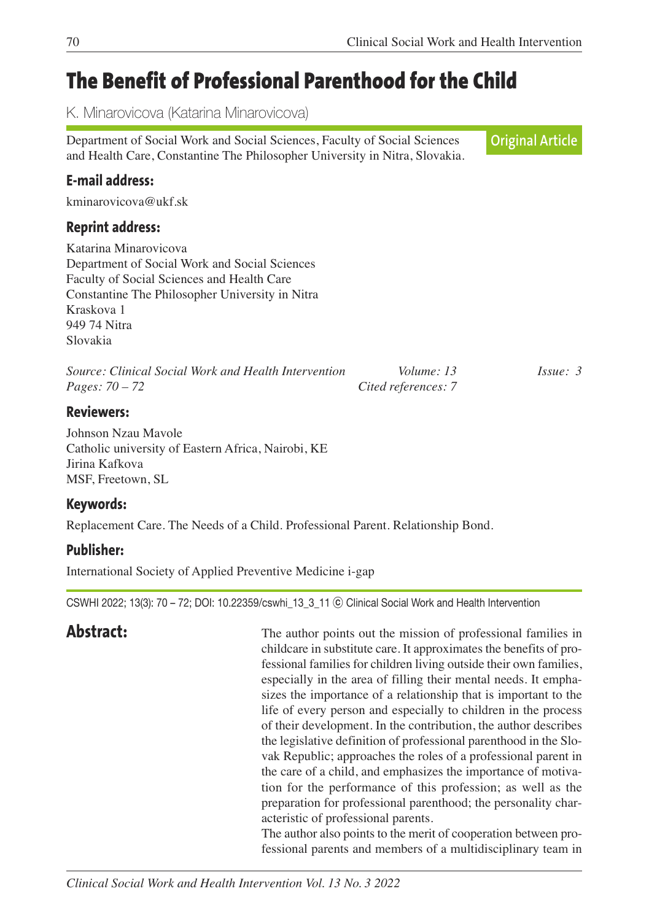# **The Benefit of Professional Parenthood for the Child**

K. Minarovicova (Katarina Minarovicova)

Department of Social Work and Social Sciences, Faculty of Social Sciences and Health Care, Constantine The Philosopher University in Nitra, Slovakia. **Original Article**

# **E-mail address:**

kminarovicova@ukf.sk

### **Reprint address:**

Katarina Minarovicova Department of Social Work and Social Sciences Faculty of Social Sciences and Health Care Constantine The Philosopher University in Nitra Kraskova 1 949 74 Nitra Slovakia

| Source: Clinical Social Work and Health Intervention | Volume: 13          | $I_{S5He}:$ 3 |
|------------------------------------------------------|---------------------|---------------|
| <i>Pages:</i> $70 - 72$                              | Cited references: 7 |               |

### **Reviewers:**

Johnson Nzau Mavole Catholic university of Eastern Africa, Nairobi, KE Jirina Kafkova MSF, Freetown, SL

### **Keywords:**

Replacement Care. The Needs of a Child. Professional Parent. Relationship Bond.

# **Publisher:**

International Society of Applied Preventive Medicine i-gap

CSWHI 2022; 13(3): 70 – 72; DOI: 10.22359/cswhi\_13\_3\_11 ⓒ Clinical Social Work and Health Intervention

**Abstract:** The author points out the mission of professional families in childcare in substitute care. It approximates the benefits of professional families for children living outside their own families, especially in the area of filling their mental needs. It emphasizes the importance of a relationship that is important to the life of every person and especially to children in the process of their development. In the contribution, the author describes the legislative definition of professional parenthood in the Slovak Republic; approaches the roles of a professional parent in the care of a child, and emphasizes the importance of motivation for the performance of this profession; as well as the preparation for professional parenthood; the personality characteristic of professional parents.

 The author also points to the merit of cooperation between professional parents and members of a multidisciplinary team in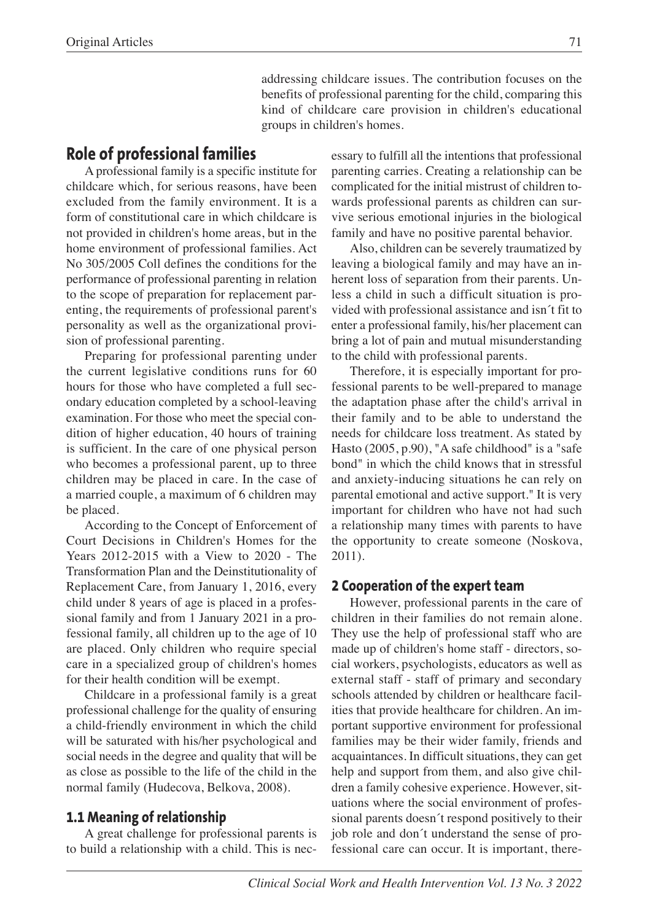addressing childcare issues. The contribution focuses on the benefits of professional parenting for the child, comparing this kind of childcare care provision in children's educational groups in children's homes.

### **Role of professional families**

A professional family is a specific institute for childcare which, for serious reasons, have been excluded from the family environment. It is a form of constitutional care in which childcare is not provided in children's home areas, but in the home environment of professional families. Act No 305/2005 Coll defines the conditions for the performance of professional parenting in relation to the scope of preparation for replacement parenting, the requirements of professional parent's personality as well as the organizational provision of professional parenting.

Preparing for professional parenting under the current legislative conditions runs for 60 hours for those who have completed a full secondary education completed by a school-leaving examination. For those who meet the special condition of higher education, 40 hours of training is sufficient. In the care of one physical person who becomes a professional parent, up to three children may be placed in care. In the case of a married couple, a maximum of 6 children may be placed.

According to the Concept of Enforcement of Court Decisions in Children's Homes for the Years 2012-2015 with a View to 2020 - The Transformation Plan and the Deinstitutionality of Replacement Care, from January 1, 2016, every child under 8 years of age is placed in a professional family and from 1 January 2021 in a professional family, all children up to the age of 10 are placed. Only children who require special care in a specialized group of children's homes for their health condition will be exempt.

Childcare in a professional family is a great professional challenge for the quality of ensuring a child-friendly environment in which the child will be saturated with his/her psychological and social needs in the degree and quality that will be as close as possible to the life of the child in the normal family (Hudecova, Belkova, 2008).

### **1.1 Meaning of relationship**

A great challenge for professional parents is to build a relationship with a child. This is necessary to fulfill all the intentions that professional parenting carries. Creating a relationship can be complicated for the initial mistrust of children towards professional parents as children can survive serious emotional injuries in the biological family and have no positive parental behavior.

Also, children can be severely traumatized by leaving a biological family and may have an inherent loss of separation from their parents. Unless a child in such a difficult situation is provided with professional assistance and isn´t fit to enter a professional family, his/her placement can bring a lot of pain and mutual misunderstanding to the child with professional parents.

Therefore, it is especially important for professional parents to be well-prepared to manage the adaptation phase after the child's arrival in their family and to be able to understand the needs for childcare loss treatment. As stated by Hasto (2005, p.90), "A safe childhood" is a "safe bond" in which the child knows that in stressful and anxiety-inducing situations he can rely on parental emotional and active support." It is very important for children who have not had such a relationship many times with parents to have the opportunity to create someone (Noskova, 2011).

### **2 Cooperation of the expert team**

However, professional parents in the care of children in their families do not remain alone. They use the help of professional staff who are made up of children's home staff - directors, social workers, psychologists, educators as well as external staff - staff of primary and secondary schools attended by children or healthcare facilities that provide healthcare for children. An important supportive environment for professional families may be their wider family, friends and acquaintances. In difficult situations, they can get help and support from them, and also give children a family cohesive experience. However, situations where the social environment of professional parents doesn´t respond positively to their job role and don´t understand the sense of professional care can occur. It is important, there-